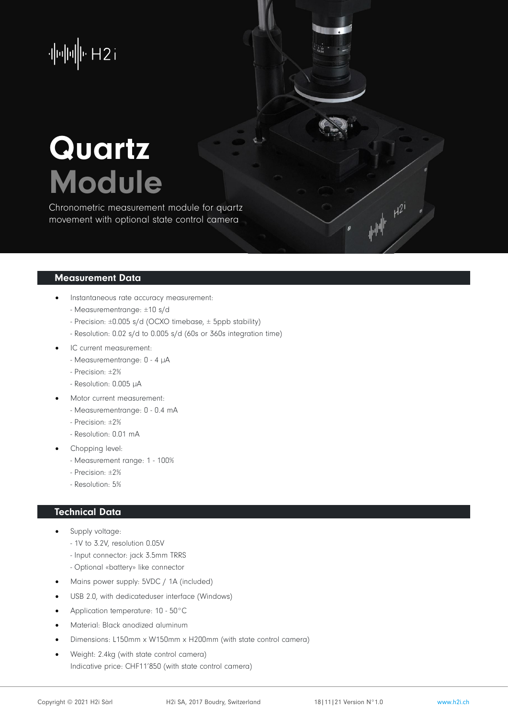$\|u\|_2\|u\|_2\|v\|_2\leq 1$ 

# **Quartz** Module

Chronometric measurement module for quartz movement with optional state control camera

#### Measurement Data

- Instantaneous rate accuracy measurement:
	- Measurementrange: ±10 s/d
	- Precision: ±0.005 s/d (OCXO timebase, ± 5ppb stability)
	- Resolution: 0.02 s/d to 0.005 s/d (60s or 360s integration time)
- IC current measurement:
	- Measurementrange: 0 4 µA
	- Precision: ±2%
	- Resolution: 0.005 µA
- Motor current measurement:
	- Measurementrange: 0 0.4 mA
	- Precision: ±2%
	- Resolution: 0.01 mA
- Chopping level:
	- Measurement range: 1 100%
	- Precision: ±2%
	- Resolution: 5%

### Technical Data

- Supply voltage:
	- 1V to 3.2V, resolution 0.05V
	- Input connector: jack 3.5mm TRRS
	- Optional «battery» like connector
- Mains power supply: 5VDC / 1A (included)
- USB 2.0, with dedicateduser interface (Windows)
- Application temperature: 10 50°C
- Material: Black anodized aluminum
- Dimensions: L150mm x W150mm x H200mm (with state control camera)
- Weight: 2.4kg (with state control camera) Indicative price: CHF11'850 (with state control camera)